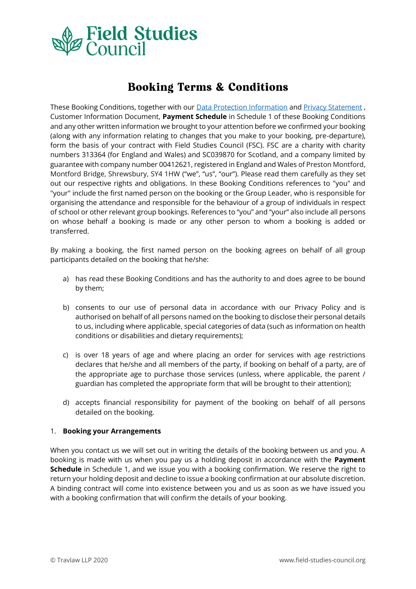

# **Booking Terms & Conditions**

These Booking Conditions, together with our [Data Protection Information](https://www.field-studies-council.org/about-us/data-protection/) an[d Privacy Statement](https://www.field-studies-council.org/wp-content/uploads/2019/08/gdpr03-fsc-privacy-statement.pdf) , Customer Information Document, **Payment Schedule** in Schedule 1 of these Booking Conditions and any other written information we brought to your attention before we confirmed your booking (along with any information relating to changes that you make to your booking, pre-departure), form the basis of your contract with Field Studies Council (FSC). FSC are a charity with charity numbers 313364 (for England and Wales) and SC039870 for Scotland, and a company limited by guarantee with company number 00412621, registered in England and Wales of Preston Montford, Montford Bridge, Shrewsbury, SY4 1HW ("we", "us", "our"). Please read them carefully as they set out our respective rights and obligations. In these Booking Conditions references to "you" and "your" include the first named person on the booking or the Group Leader, who is responsible for organising the attendance and responsible for the behaviour of a group of individuals in respect of school or other relevant group bookings. References to "you" and "your" also include all persons on whose behalf a booking is made or any other person to whom a booking is added or transferred.

By making a booking, the first named person on the booking agrees on behalf of all group participants detailed on the booking that he/she:

- a) has read these Booking Conditions and has the authority to and does agree to be bound by them;
- b) consents to our use of personal data in accordance with our Privacy Policy and is authorised on behalf of all persons named on the booking to disclose their personal details to us, including where applicable, special categories of data (such as information on health conditions or disabilities and dietary requirements);
- c) is over 18 years of age and where placing an order for services with age restrictions declares that he/she and all members of the party, if booking on behalf of a party, are of the appropriate age to purchase those services (unless, where applicable, the parent / guardian has completed the appropriate form that will be brought to their attention);
- d) accepts financial responsibility for payment of the booking on behalf of all persons detailed on the booking.

## 1. **Booking your Arrangements**

When you contact us we will set out in writing the details of the booking between us and you. A booking is made with us when you pay us a holding deposit in accordance with the **Payment Schedule** in Schedule 1, and we issue you with a booking confirmation. We reserve the right to return your holding deposit and decline to issue a booking confirmation at our absolute discretion. A binding contract will come into existence between you and us as soon as we have issued you with a booking confirmation that will confirm the details of your booking.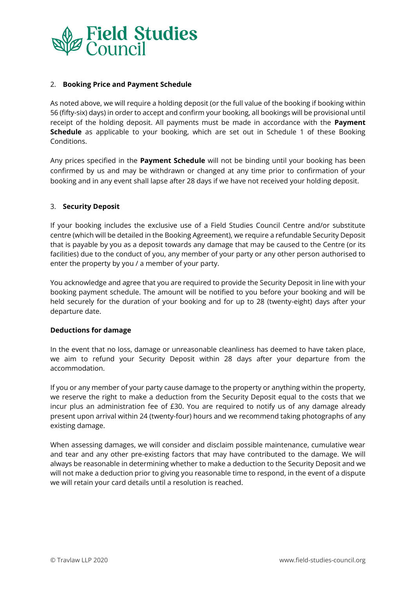

## 2. **Booking Price and Payment Schedule**

As noted above, we will require a holding deposit (or the full value of the booking if booking within 56 (fifty-six) days) in order to accept and confirm your booking, all bookings will be provisional until receipt of the holding deposit. All payments must be made in accordance with the **Payment Schedule** as applicable to your booking, which are set out in Schedule 1 of these Booking Conditions.

Any prices specified in the **Payment Schedule** will not be binding until your booking has been confirmed by us and may be withdrawn or changed at any time prior to confirmation of your booking and in any event shall lapse after 28 days if we have not received your holding deposit.

## 3. **Security Deposit**

If your booking includes the exclusive use of a Field Studies Council Centre and/or substitute centre (which will be detailed in the Booking Agreement), we require a refundable Security Deposit that is payable by you as a deposit towards any damage that may be caused to the Centre (or its facilities) due to the conduct of you, any member of your party or any other person authorised to enter the property by you / a member of your party.

You acknowledge and agree that you are required to provide the Security Deposit in line with your booking payment schedule. The amount will be notified to you before your booking and will be held securely for the duration of your booking and for up to 28 (twenty-eight) days after your departure date.

## **Deductions for damage**

In the event that no loss, damage or unreasonable cleanliness has deemed to have taken place, we aim to refund your Security Deposit within 28 days after your departure from the accommodation.

If you or any member of your party cause damage to the property or anything within the property, we reserve the right to make a deduction from the Security Deposit equal to the costs that we incur plus an administration fee of £30. You are required to notify us of any damage already present upon arrival within 24 (twenty-four) hours and we recommend taking photographs of any existing damage.

When assessing damages, we will consider and disclaim possible maintenance, cumulative wear and tear and any other pre-existing factors that may have contributed to the damage. We will always be reasonable in determining whether to make a deduction to the Security Deposit and we will not make a deduction prior to giving you reasonable time to respond, in the event of a dispute we will retain your card details until a resolution is reached.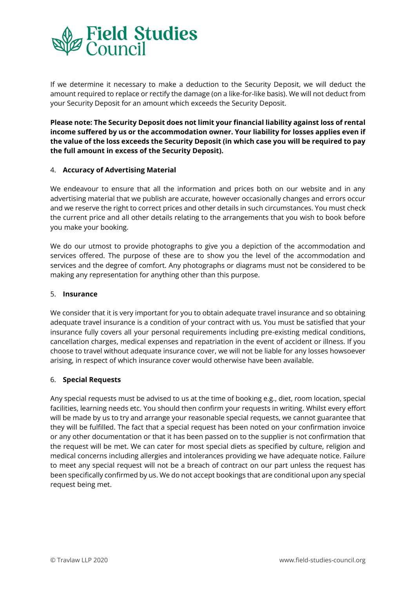

If we determine it necessary to make a deduction to the Security Deposit, we will deduct the amount required to replace or rectify the damage (on a like-for-like basis). We will not deduct from your Security Deposit for an amount which exceeds the Security Deposit.

**Please note: The Security Deposit does not limit your financial liability against loss of rental income suffered by us or the accommodation owner. Your liability for losses applies even if the value of the loss exceeds the Security Deposit (in which case you will be required to pay the full amount in excess of the Security Deposit).** 

## 4. **Accuracy of Advertising Material**

We endeavour to ensure that all the information and prices both on our website and in any advertising material that we publish are accurate, however occasionally changes and errors occur and we reserve the right to correct prices and other details in such circumstances. You must check the current price and all other details relating to the arrangements that you wish to book before you make your booking.

We do our utmost to provide photographs to give you a depiction of the accommodation and services offered. The purpose of these are to show you the level of the accommodation and services and the degree of comfort. Any photographs or diagrams must not be considered to be making any representation for anything other than this purpose.

## 5. **Insurance**

We consider that it is very important for you to obtain adequate travel insurance and so obtaining adequate travel insurance is a condition of your contract with us. You must be satisfied that your insurance fully covers all your personal requirements including pre-existing medical conditions, cancellation charges, medical expenses and repatriation in the event of accident or illness. If you choose to travel without adequate insurance cover, we will not be liable for any losses howsoever arising, in respect of which insurance cover would otherwise have been available.

## 6. **Special Requests**

Any special requests must be advised to us at the time of booking e.g., diet, room location, special facilities, learning needs etc. You should then confirm your requests in writing. Whilst every effort will be made by us to try and arrange your reasonable special requests, we cannot guarantee that they will be fulfilled. The fact that a special request has been noted on your confirmation invoice or any other documentation or that it has been passed on to the supplier is not confirmation that the request will be met. We can cater for most special diets as specified by culture, religion and medical concerns including allergies and intolerances providing we have adequate notice. Failure to meet any special request will not be a breach of contract on our part unless the request has been specifically confirmed by us. We do not accept bookings that are conditional upon any special request being met.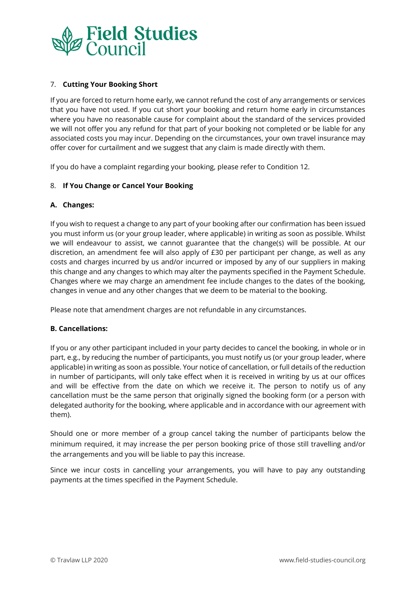

## 7. **Cutting Your Booking Short**

If you are forced to return home early, we cannot refund the cost of any arrangements or services that you have not used. If you cut short your booking and return home early in circumstances where you have no reasonable cause for complaint about the standard of the services provided we will not offer you any refund for that part of your booking not completed or be liable for any associated costs you may incur. Depending on the circumstances, your own travel insurance may offer cover for curtailment and we suggest that any claim is made directly with them.

If you do have a complaint regarding your booking, please refer to Condition 12.

## 8. **If You Change or Cancel Your Booking**

## **A. Changes:**

If you wish to request a change to any part of your booking after our confirmation has been issued you must inform us (or your group leader, where applicable) in writing as soon as possible. Whilst we will endeavour to assist, we cannot guarantee that the change(s) will be possible. At our discretion, an amendment fee will also apply of £30 per participant per change, as well as any costs and charges incurred by us and/or incurred or imposed by any of our suppliers in making this change and any changes to which may alter the payments specified in the Payment Schedule. Changes where we may charge an amendment fee include changes to the dates of the booking, changes in venue and any other changes that we deem to be material to the booking.

Please note that amendment charges are not refundable in any circumstances.

## **B. Cancellations:**

If you or any other participant included in your party decides to cancel the booking, in whole or in part, e.g., by reducing the number of participants, you must notify us (or your group leader, where applicable) in writing as soon as possible. Your notice of cancellation, or full details of the reduction in number of participants, will only take effect when it is received in writing by us at our offices and will be effective from the date on which we receive it. The person to notify us of any cancellation must be the same person that originally signed the booking form (or a person with delegated authority for the booking, where applicable and in accordance with our agreement with them).

Should one or more member of a group cancel taking the number of participants below the minimum required, it may increase the per person booking price of those still travelling and/or the arrangements and you will be liable to pay this increase.

Since we incur costs in cancelling your arrangements, you will have to pay any outstanding payments at the times specified in the Payment Schedule.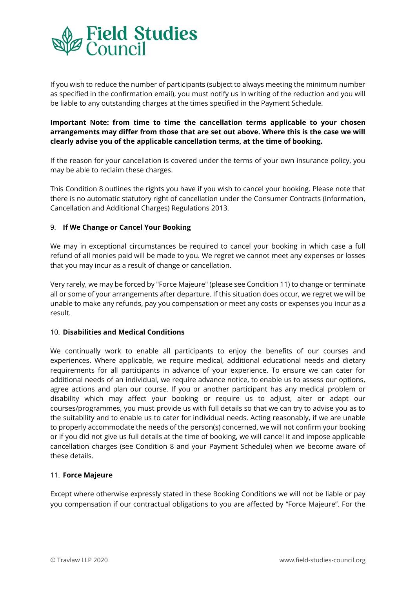

If you wish to reduce the number of participants (subject to always meeting the minimum number as specified in the confirmation email), you must notify us in writing of the reduction and you will be liable to any outstanding charges at the times specified in the Payment Schedule.

# **Important Note: from time to time the cancellation terms applicable to your chosen arrangements may differ from those that are set out above. Where this is the case we will clearly advise you of the applicable cancellation terms, at the time of booking.**

If the reason for your cancellation is covered under the terms of your own insurance policy, you may be able to reclaim these charges.

This Condition 8 outlines the rights you have if you wish to cancel your booking. Please note that there is no automatic statutory right of cancellation under the Consumer Contracts (Information, Cancellation and Additional Charges) Regulations 2013.

## 9. **If We Change or Cancel Your Booking**

We may in exceptional circumstances be required to cancel your booking in which case a full refund of all monies paid will be made to you. We regret we cannot meet any expenses or losses that you may incur as a result of change or cancellation.

Very rarely, we may be forced by "Force Majeure" (please see Condition 11) to change or terminate all or some of your arrangements after departure. If this situation does occur, we regret we will be unable to make any refunds, pay you compensation or meet any costs or expenses you incur as a result.

## 10. **Disabilities and Medical Conditions**

We continually work to enable all participants to enjoy the benefits of our courses and experiences. Where applicable, we require medical, additional educational needs and dietary requirements for all participants in advance of your experience. To ensure we can cater for additional needs of an individual, we require advance notice, to enable us to assess our options, agree actions and plan our course. If you or another participant has any medical problem or disability which may affect your booking or require us to adjust, alter or adapt our courses/programmes, you must provide us with full details so that we can try to advise you as to the suitability and to enable us to cater for individual needs. Acting reasonably, if we are unable to properly accommodate the needs of the person(s) concerned, we will not confirm your booking or if you did not give us full details at the time of booking, we will cancel it and impose applicable cancellation charges (see Condition 8 and your Payment Schedule) when we become aware of these details.

## 11. **Force Majeure**

Except where otherwise expressly stated in these Booking Conditions we will not be liable or pay you compensation if our contractual obligations to you are affected by "Force Majeure". For the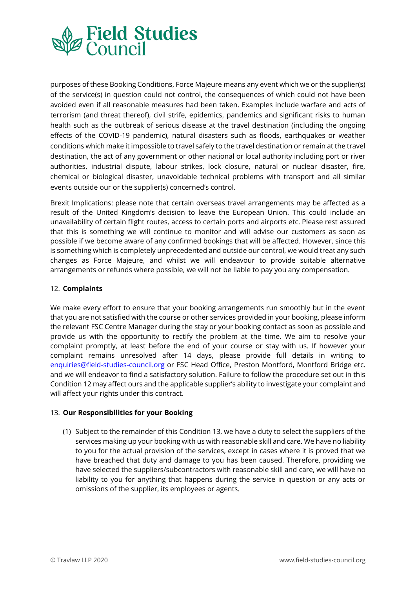

purposes of these Booking Conditions, Force Majeure means any event which we or the supplier(s) of the service(s) in question could not control, the consequences of which could not have been avoided even if all reasonable measures had been taken. Examples include warfare and acts of terrorism (and threat thereof), civil strife, epidemics, pandemics and significant risks to human health such as the outbreak of serious disease at the travel destination (including the ongoing effects of the COVID-19 pandemic), natural disasters such as floods, earthquakes or weather conditions which make it impossible to travel safely to the travel destination or remain at the travel destination, the act of any government or other national or local authority including port or river authorities, industrial dispute, labour strikes, lock closure, natural or nuclear disaster, fire, chemical or biological disaster, unavoidable technical problems with transport and all similar events outside our or the supplier(s) concerned's control.

Brexit Implications: please note that certain overseas travel arrangements may be affected as a result of the United Kingdom's decision to leave the European Union. This could include an unavailability of certain flight routes, access to certain ports and airports etc. Please rest assured that this is something we will continue to monitor and will advise our customers as soon as possible if we become aware of any confirmed bookings that will be affected. However, since this is something which is completely unprecedented and outside our control, we would treat any such changes as Force Majeure, and whilst we will endeavour to provide suitable alternative arrangements or refunds where possible, we will not be liable to pay you any compensation.

## 12. **Complaints**

We make every effort to ensure that your booking arrangements run smoothly but in the event that you are not satisfied with the course or other services provided in your booking, please inform the relevant FSC Centre Manager during the stay or your booking contact as soon as possible and provide us with the opportunity to rectify the problem at the time. We aim to resolve your complaint promptly, at least before the end of your course or stay with us. If however your complaint remains unresolved after 14 days, please provide full details in writing to enquiries@field-studies-council.org or FSC Head Office, Preston Montford, Montford Bridge etc. and we will endeavor to find a satisfactory solution. Failure to follow the procedure set out in this Condition 12 may affect ours and the applicable supplier's ability to investigate your complaint and will affect your rights under this contract.

## 13. **Our Responsibilities for your Booking**

(1) Subject to the remainder of this Condition 13, we have a duty to select the suppliers of the services making up your booking with us with reasonable skill and care. We have no liability to you for the actual provision of the services, except in cases where it is proved that we have breached that duty and damage to you has been caused. Therefore, providing we have selected the suppliers/subcontractors with reasonable skill and care, we will have no liability to you for anything that happens during the service in question or any acts or omissions of the supplier, its employees or agents.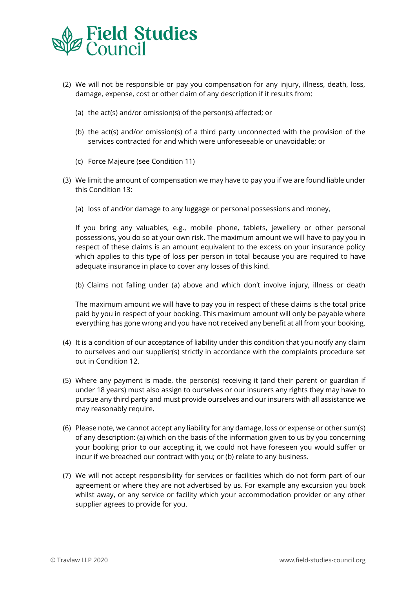

- (2) We will not be responsible or pay you compensation for any injury, illness, death, loss, damage, expense, cost or other claim of any description if it results from:
	- (a) the act(s) and/or omission(s) of the person(s) affected; or
	- (b) the act(s) and/or omission(s) of a third party unconnected with the provision of the services contracted for and which were unforeseeable or unavoidable; or
	- (c) Force Majeure (see Condition 11)
- (3) We limit the amount of compensation we may have to pay you if we are found liable under this Condition 13:
	- (a) loss of and/or damage to any luggage or personal possessions and money,

If you bring any valuables, e.g., mobile phone, tablets, jewellery or other personal possessions, you do so at your own risk. The maximum amount we will have to pay you in respect of these claims is an amount equivalent to the excess on your insurance policy which applies to this type of loss per person in total because you are required to have adequate insurance in place to cover any losses of this kind.

(b) Claims not falling under (a) above and which don't involve injury, illness or death

The maximum amount we will have to pay you in respect of these claims is the total price paid by you in respect of your booking. This maximum amount will only be payable where everything has gone wrong and you have not received any benefit at all from your booking.

- (4) It is a condition of our acceptance of liability under this condition that you notify any claim to ourselves and our supplier(s) strictly in accordance with the complaints procedure set out in Condition 12.
- (5) Where any payment is made, the person(s) receiving it (and their parent or guardian if under 18 years) must also assign to ourselves or our insurers any rights they may have to pursue any third party and must provide ourselves and our insurers with all assistance we may reasonably require.
- (6) Please note, we cannot accept any liability for any damage, loss or expense or other sum(s) of any description: (a) which on the basis of the information given to us by you concerning your booking prior to our accepting it, we could not have foreseen you would suffer or incur if we breached our contract with you; or (b) relate to any business.
- (7) We will not accept responsibility for services or facilities which do not form part of our agreement or where they are not advertised by us. For example any excursion you book whilst away, or any service or facility which your accommodation provider or any other supplier agrees to provide for you.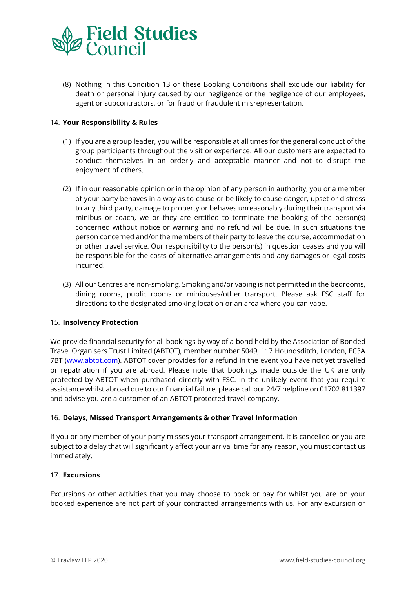

(8) Nothing in this Condition 13 or these Booking Conditions shall exclude our liability for death or personal injury caused by our negligence or the negligence of our employees, agent or subcontractors, or for fraud or fraudulent misrepresentation.

## 14. **Your Responsibility & Rules**

- (1) If you are a group leader, you will be responsible at all times for the general conduct of the group participants throughout the visit or experience. All our customers are expected to conduct themselves in an orderly and acceptable manner and not to disrupt the enjoyment of others.
- (2) If in our reasonable opinion or in the opinion of any person in authority, you or a member of your party behaves in a way as to cause or be likely to cause danger, upset or distress to any third party, damage to property or behaves unreasonably during their transport via minibus or coach, we or they are entitled to terminate the booking of the person(s) concerned without notice or warning and no refund will be due. In such situations the person concerned and/or the members of their party to leave the course, accommodation or other travel service. Our responsibility to the person(s) in question ceases and you will be responsible for the costs of alternative arrangements and any damages or legal costs incurred.
- (3) All our Centres are non-smoking. Smoking and/or vaping is not permitted in the bedrooms, dining rooms, public rooms or minibuses/other transport. Please ask FSC staff for directions to the designated smoking location or an area where you can vape.

## 15. **Insolvency Protection**

We provide financial security for all bookings by way of a bond held by the Association of Bonded Travel Organisers Trust Limited (ABTOT), member number 5049, 117 Houndsditch, London, EC3A 7BT (www.abtot.com). ABTOT cover provides for a refund in the event you have not yet travelled or repatriation if you are abroad. Please note that bookings made outside the UK are only protected by ABTOT when purchased directly with FSC. In the unlikely event that you require assistance whilst abroad due to our financial failure, please call our 24/7 helpline on 01702 811397 and advise you are a customer of an ABTOT protected travel company.

## 16. **Delays, Missed Transport Arrangements & other Travel Information**

If you or any member of your party misses your transport arrangement, it is cancelled or you are subject to a delay that will significantly affect your arrival time for any reason, you must contact us immediately.

## 17. **Excursions**

Excursions or other activities that you may choose to book or pay for whilst you are on your booked experience are not part of your contracted arrangements with us. For any excursion or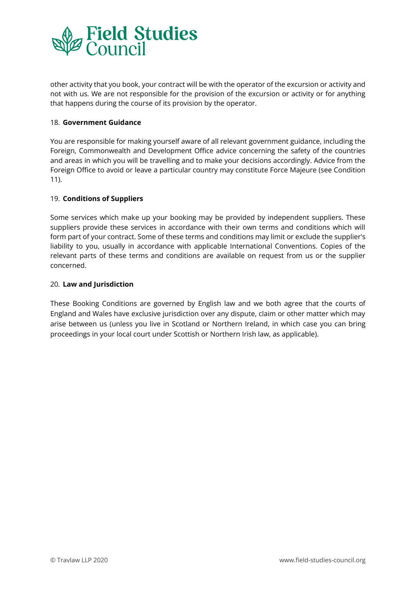

other activity that you book, your contract will be with the operator of the excursion or activity and not with us. We are not responsible for the provision of the excursion or activity or for anything that happens during the course of its provision by the operator.

## 18. **Government Guidance**

You are responsible for making yourself aware of all relevant government guidance, including the Foreign, Commonwealth and Development Office advice concerning the safety of the countries and areas in which you will be travelling and to make your decisions accordingly. Advice from the Foreign Office to avoid or leave a particular country may constitute Force Majeure (see Condition 11).

## 19. **Conditions of Suppliers**

Some services which make up your booking may be provided by independent suppliers. These suppliers provide these services in accordance with their own terms and conditions which will form part of your contract. Some of these terms and conditions may limit or exclude the supplier's liability to you, usually in accordance with applicable International Conventions. Copies of the relevant parts of these terms and conditions are available on request from us or the supplier concerned.

## 20. **Law and Jurisdiction**

These Booking Conditions are governed by English law and we both agree that the courts of England and Wales have exclusive jurisdiction over any dispute, claim or other matter which may arise between us (unless you live in Scotland or Northern Ireland, in which case you can bring proceedings in your local court under Scottish or Northern Irish law, as applicable).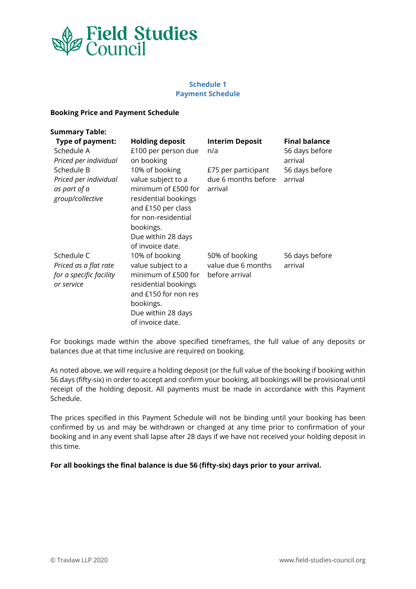

# **Schedule 1 Payment Schedule**

#### **Booking Price and Payment Schedule**

| <b>Summary Table:</b>                                                        |                                                                                                                                                                                         |                                                        |                                                   |
|------------------------------------------------------------------------------|-----------------------------------------------------------------------------------------------------------------------------------------------------------------------------------------|--------------------------------------------------------|---------------------------------------------------|
| <b>Type of payment:</b><br>Schedule A<br>Priced per individual               | <b>Holding deposit</b><br>£100 per person due<br>on booking                                                                                                                             | <b>Interim Deposit</b><br>n/a                          | <b>Final balance</b><br>56 days before<br>arrival |
| Schedule B<br>Priced per individual<br>as part of a<br>group/collective      | 10% of booking<br>value subject to a<br>minimum of £500 for<br>residential bookings<br>and £150 per class<br>for non-residential<br>bookings.<br>Due within 28 days<br>of invoice date. | £75 per participant<br>due 6 months before<br>arrival  | 56 days before<br>arrival                         |
| Schedule C<br>Priced as a flat rate<br>for a specific facility<br>or service | 10% of booking<br>value subject to a<br>minimum of £500 for<br>residential bookings<br>and £150 for non res<br>bookings.<br>Due within 28 days<br>of invoice date.                      | 50% of booking<br>value due 6 months<br>before arrival | 56 days before<br>arrival                         |

For bookings made within the above specified timeframes, the full value of any deposits or balances due at that time inclusive are required on booking.

As noted above, we will require a holding deposit (or the full value of the booking if booking within 56 days (fifty-six) in order to accept and confirm your booking, all bookings will be provisional until receipt of the holding deposit. All payments must be made in accordance with this Payment Schedule.

The prices specified in this Payment Schedule will not be binding until your booking has been confirmed by us and may be withdrawn or changed at any time prior to confirmation of your booking and in any event shall lapse after 28 days if we have not received your holding deposit in this time.

**For all bookings the final balance is due 56 (fifty-six) days prior to your arrival.**